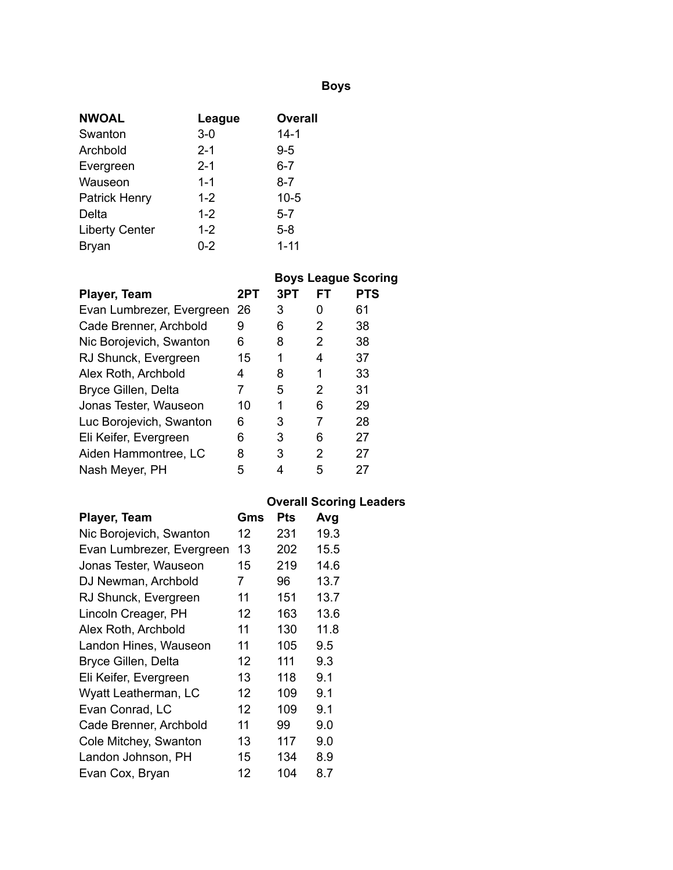## **Boys**

| <b>NWOAL</b>          | League  | <b>Overall</b> |
|-----------------------|---------|----------------|
| Swanton               | $3-0$   | $14 - 1$       |
| Archbold              | $2 - 1$ | $9 - 5$        |
| Evergreen             | $2 - 1$ | 6-7            |
| Wauseon               | $1 - 1$ | 8-7            |
| <b>Patrick Henry</b>  | $1 - 2$ | $10 - 5$       |
| Delta                 | $1 - 2$ | $5 - 7$        |
| <b>Liberty Center</b> | $1 - 2$ | $5 - 8$        |
| Bryan                 | $0 - 2$ | $1 - 11$       |

|                           |     |     |    | <b>Boys League Scoring</b> |
|---------------------------|-----|-----|----|----------------------------|
| Player, Team              | 2PT | 3PT | FТ | <b>PTS</b>                 |
| Evan Lumbrezer, Evergreen | 26  | 3   | O  | 61                         |
| Cade Brenner, Archbold    | 9   | 6   | 2  | 38                         |
| Nic Borojevich, Swanton   | 6   | 8   | 2  | 38                         |
| RJ Shunck, Evergreen      | 15  | 1   | 4  | 37                         |
| Alex Roth, Archbold       | 4   | 8   | 1  | 33                         |
| Bryce Gillen, Delta       | 7   | 5   | 2  | 31                         |
| Jonas Tester, Wauseon     | 10  | 1   | 6  | 29                         |
| Luc Borojevich, Swanton   | 6   | 3   | 7  | 28                         |
| Eli Keifer, Evergreen     | 6   | 3   | 6  | 27                         |
| Aiden Hammontree, LC      | 8   | 3   | 2  | 27                         |
| Nash Meyer, PH            | 5   |     | 5  | 27                         |

## **Overall Scoring Leaders**

| Player, Team              | Gms | Pts | Avg  |
|---------------------------|-----|-----|------|
| Nic Borojevich, Swanton   | 12  | 231 | 19.3 |
| Evan Lumbrezer, Evergreen | 13  | 202 | 15.5 |
| Jonas Tester, Wauseon     | 15  | 219 | 14.6 |
| DJ Newman, Archbold       | 7   | 96  | 13.7 |
| RJ Shunck, Evergreen      | 11  | 151 | 13.7 |
| Lincoln Creager, PH       | 12  | 163 | 13.6 |
| Alex Roth, Archbold       | 11  | 130 | 11.8 |
| Landon Hines, Wauseon     | 11  | 105 | 9.5  |
| Bryce Gillen, Delta       | 12  | 111 | 9.3  |
| Eli Keifer, Evergreen     | 13  | 118 | 9.1  |
| Wyatt Leatherman, LC      | 12  | 109 | 9.1  |
| Evan Conrad, LC           | 12  | 109 | 9.1  |
| Cade Brenner, Archbold    | 11  | 99  | 9.0  |
| Cole Mitchey, Swanton     | 13  | 117 | 9.0  |
| Landon Johnson, PH        | 15  | 134 | 8.9  |
| Evan Cox, Bryan           | 12  | 104 | 8.7  |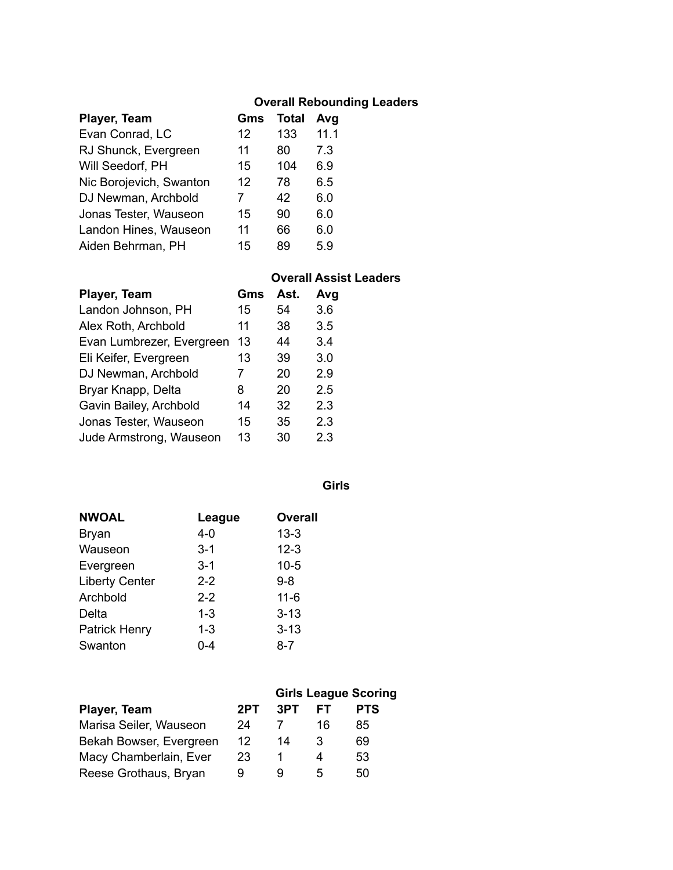### **Overall Rebounding Leaders**

| Player, Team            | Gms | <b>Total</b> | Avg  |
|-------------------------|-----|--------------|------|
| Evan Conrad, LC         | 12  | 133          | 11.1 |
| RJ Shunck, Evergreen    | 11  | 80           | 7.3  |
| Will Seedorf, PH        | 15  | 104          | 6.9  |
| Nic Borojevich, Swanton | 12  | 78           | 6.5  |
| DJ Newman, Archbold     | 7   | 42           | 6.0  |
| Jonas Tester, Wauseon   | 15  | 90           | 6.0  |
| Landon Hines, Wauseon   | 11  | 66           | 6.0  |
| Aiden Behrman, PH       | 15  | 89           | 5.9  |

#### **Overall Assist Leaders**

| Player, Team              | Gms | Ast. | Avg |
|---------------------------|-----|------|-----|
| Landon Johnson, PH        | 15  | 54   | 3.6 |
| Alex Roth, Archbold       | 11  | 38   | 3.5 |
| Evan Lumbrezer, Evergreen | 13  | 44   | 3.4 |
| Eli Keifer, Evergreen     | 13  | 39   | 3.0 |
| DJ Newman, Archbold       | 7   | 20   | 2.9 |
| Bryar Knapp, Delta        | 8   | 20   | 2.5 |
| Gavin Bailey, Archbold    | 14  | 32   | 2.3 |
| Jonas Tester, Wauseon     | 15  | 35   | 2.3 |
| Jude Armstrong, Wauseon   | 13  | 30   | 2.3 |

**Girls**

| <b>NWOAL</b>          | League  | <b>Overall</b> |
|-----------------------|---------|----------------|
| <b>Bryan</b>          | $4 - 0$ | $13 - 3$       |
| Wauseon               | $3 - 1$ | $12 - 3$       |
| Evergreen             | $3 - 1$ | $10 - 5$       |
| <b>Liberty Center</b> | $2 - 2$ | 9-8            |
| Archbold              | $2 - 2$ | $11 - 6$       |
| Delta                 | $1 - 3$ | $3 - 13$       |
| <b>Patrick Henry</b>  | $1 - 3$ | $3 - 13$       |
| Swanton               | በ-4     | 8-7            |

|                         | <b>Girls League Scoring</b> |     |    |            |
|-------------------------|-----------------------------|-----|----|------------|
| Player, Team            | 2PT                         | 3PT | FТ | <b>PTS</b> |
| Marisa Seiler, Wauseon  | 24                          |     | 16 | 85         |
| Bekah Bowser, Evergreen | 12                          | 14  | 3  | 69         |
| Macy Chamberlain, Ever  | 23                          |     | 4  | 53         |
| Reese Grothaus, Bryan   | 9                           | u   | 5  | 50         |